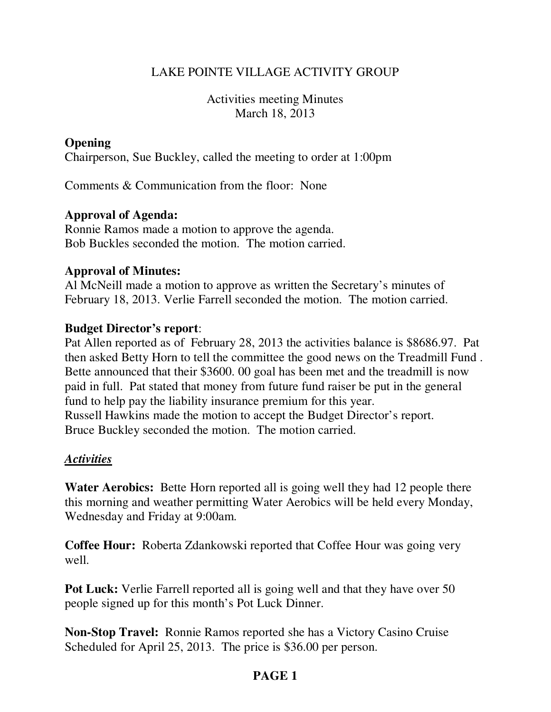# LAKE POINTE VILLAGE ACTIVITY GROUP

Activities meeting Minutes March 18, 2013

## **Opening**

Chairperson, Sue Buckley, called the meeting to order at 1:00pm

Comments & Communication from the floor: None

## **Approval of Agenda:**

Ronnie Ramos made a motion to approve the agenda. Bob Buckles seconded the motion. The motion carried.

## **Approval of Minutes:**

Al McNeill made a motion to approve as written the Secretary's minutes of February 18, 2013. Verlie Farrell seconded the motion. The motion carried.

#### **Budget Director's report**:

Pat Allen reported as of February 28, 2013 the activities balance is \$8686.97. Pat then asked Betty Horn to tell the committee the good news on the Treadmill Fund . Bette announced that their \$3600. 00 goal has been met and the treadmill is now paid in full. Pat stated that money from future fund raiser be put in the general fund to help pay the liability insurance premium for this year. Russell Hawkins made the motion to accept the Budget Director's report. Bruce Buckley seconded the motion. The motion carried.

## *Activities*

**Water Aerobics:** Bette Horn reported all is going well they had 12 people there this morning and weather permitting Water Aerobics will be held every Monday, Wednesday and Friday at 9:00am.

**Coffee Hour:** Roberta Zdankowski reported that Coffee Hour was going very well.

**Pot Luck:** Verlie Farrell reported all is going well and that they have over 50 people signed up for this month's Pot Luck Dinner.

**Non-Stop Travel:** Ronnie Ramos reported she has a Victory Casino Cruise Scheduled for April 25, 2013. The price is \$36.00 per person.

# **PAGE 1**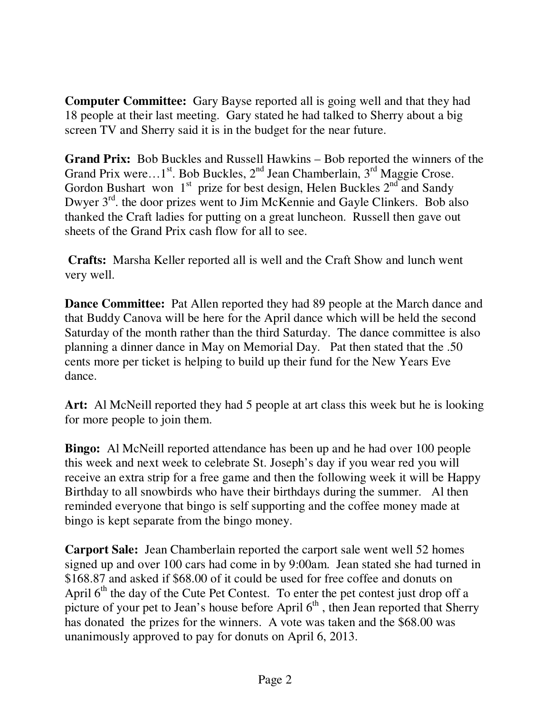**Computer Committee:** Gary Bayse reported all is going well and that they had 18 people at their last meeting. Gary stated he had talked to Sherry about a big screen TV and Sherry said it is in the budget for the near future.

**Grand Prix:** Bob Buckles and Russell Hawkins – Bob reported the winners of the Grand Prix were...1<sup>st</sup>. Bob Buckles,  $2<sup>nd</sup>$  Jean Chamberlain,  $3<sup>rd</sup>$  Maggie Crose. Gordon Bushart won  $1<sup>st</sup>$  prize for best design, Helen Buckles  $2<sup>nd</sup>$  and Sandy Dwyer  $3<sup>rd</sup>$ , the door prizes went to Jim McKennie and Gayle Clinkers. Bob also thanked the Craft ladies for putting on a great luncheon. Russell then gave out sheets of the Grand Prix cash flow for all to see.

**Crafts:** Marsha Keller reported all is well and the Craft Show and lunch went very well.

**Dance Committee:** Pat Allen reported they had 89 people at the March dance and that Buddy Canova will be here for the April dance which will be held the second Saturday of the month rather than the third Saturday. The dance committee is also planning a dinner dance in May on Memorial Day. Pat then stated that the .50 cents more per ticket is helping to build up their fund for the New Years Eve dance.

**Art:** Al McNeill reported they had 5 people at art class this week but he is looking for more people to join them.

**Bingo:** Al McNeill reported attendance has been up and he had over 100 people this week and next week to celebrate St. Joseph's day if you wear red you will receive an extra strip for a free game and then the following week it will be Happy Birthday to all snowbirds who have their birthdays during the summer. Al then reminded everyone that bingo is self supporting and the coffee money made at bingo is kept separate from the bingo money.

**Carport Sale:** Jean Chamberlain reported the carport sale went well 52 homes signed up and over 100 cars had come in by 9:00am. Jean stated she had turned in \$168.87 and asked if \$68.00 of it could be used for free coffee and donuts on April  $6<sup>th</sup>$  the day of the Cute Pet Contest. To enter the pet contest just drop off a picture of your pet to Jean's house before April  $6<sup>th</sup>$ , then Jean reported that Sherry has donated the prizes for the winners. A vote was taken and the \$68.00 was unanimously approved to pay for donuts on April 6, 2013.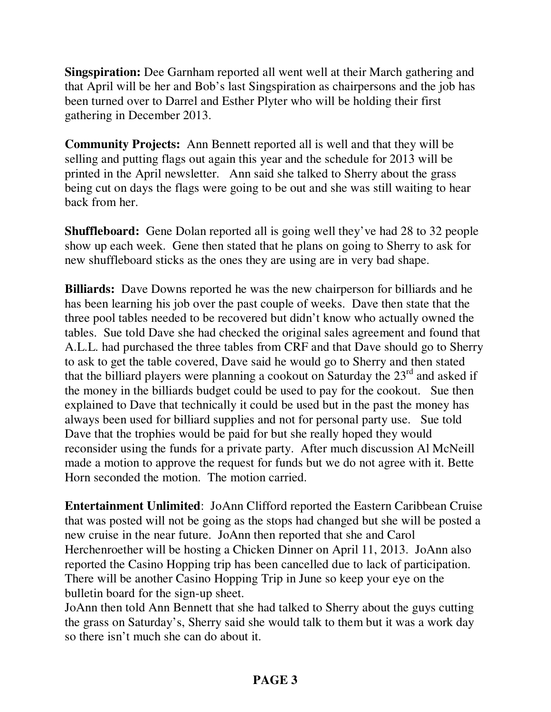**Singspiration:** Dee Garnham reported all went well at their March gathering and that April will be her and Bob's last Singspiration as chairpersons and the job has been turned over to Darrel and Esther Plyter who will be holding their first gathering in December 2013.

**Community Projects:** Ann Bennett reported all is well and that they will be selling and putting flags out again this year and the schedule for 2013 will be printed in the April newsletter. Ann said she talked to Sherry about the grass being cut on days the flags were going to be out and she was still waiting to hear back from her.

**Shuffleboard:** Gene Dolan reported all is going well they've had 28 to 32 people show up each week. Gene then stated that he plans on going to Sherry to ask for new shuffleboard sticks as the ones they are using are in very bad shape.

**Billiards:** Dave Downs reported he was the new chairperson for billiards and he has been learning his job over the past couple of weeks. Dave then state that the three pool tables needed to be recovered but didn't know who actually owned the tables. Sue told Dave she had checked the original sales agreement and found that A.L.L. had purchased the three tables from CRF and that Dave should go to Sherry to ask to get the table covered, Dave said he would go to Sherry and then stated that the billiard players were planning a cookout on Saturday the  $23<sup>rd</sup>$  and asked if the money in the billiards budget could be used to pay for the cookout. Sue then explained to Dave that technically it could be used but in the past the money has always been used for billiard supplies and not for personal party use. Sue told Dave that the trophies would be paid for but she really hoped they would reconsider using the funds for a private party. After much discussion Al McNeill made a motion to approve the request for funds but we do not agree with it. Bette Horn seconded the motion. The motion carried.

**Entertainment Unlimited**: JoAnn Clifford reported the Eastern Caribbean Cruise that was posted will not be going as the stops had changed but she will be posted a new cruise in the near future. JoAnn then reported that she and Carol Herchenroether will be hosting a Chicken Dinner on April 11, 2013. JoAnn also reported the Casino Hopping trip has been cancelled due to lack of participation. There will be another Casino Hopping Trip in June so keep your eye on the bulletin board for the sign-up sheet.

JoAnn then told Ann Bennett that she had talked to Sherry about the guys cutting the grass on Saturday's, Sherry said she would talk to them but it was a work day so there isn't much she can do about it.